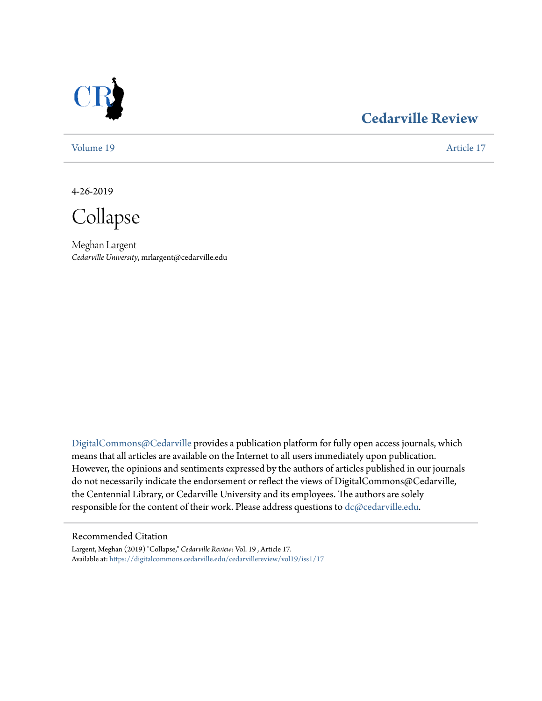

### **[Cedarville Review](https://digitalcommons.cedarville.edu/cedarvillereview?utm_source=digitalcommons.cedarville.edu%2Fcedarvillereview%2Fvol19%2Fiss1%2F17&utm_medium=PDF&utm_campaign=PDFCoverPages)**

[Volume 19](https://digitalcommons.cedarville.edu/cedarvillereview/vol19?utm_source=digitalcommons.cedarville.edu%2Fcedarvillereview%2Fvol19%2Fiss1%2F17&utm_medium=PDF&utm_campaign=PDFCoverPages) [Article 17](https://digitalcommons.cedarville.edu/cedarvillereview/vol19/iss1/17?utm_source=digitalcommons.cedarville.edu%2Fcedarvillereview%2Fvol19%2Fiss1%2F17&utm_medium=PDF&utm_campaign=PDFCoverPages)

4-26-2019

Collapse

Meghan Largent *Cedarville University*, mrlargent@cedarville.edu

[DigitalCommons@Cedarville](http://digitalcommons.cedarville.edu/) provides a publication platform for fully open access journals, which means that all articles are available on the Internet to all users immediately upon publication. However, the opinions and sentiments expressed by the authors of articles published in our journals do not necessarily indicate the endorsement or reflect the views of DigitalCommons@Cedarville, the Centennial Library, or Cedarville University and its employees. The authors are solely responsible for the content of their work. Please address questions to [dc@cedarville.edu](mailto:dc@cedarville.edu).

#### Recommended Citation

Largent, Meghan (2019) "Collapse," *Cedarville Review*: Vol. 19 , Article 17. Available at: [https://digitalcommons.cedarville.edu/cedarvillereview/vol19/iss1/17](https://digitalcommons.cedarville.edu/cedarvillereview/vol19/iss1/17?utm_source=digitalcommons.cedarville.edu%2Fcedarvillereview%2Fvol19%2Fiss1%2F17&utm_medium=PDF&utm_campaign=PDFCoverPages)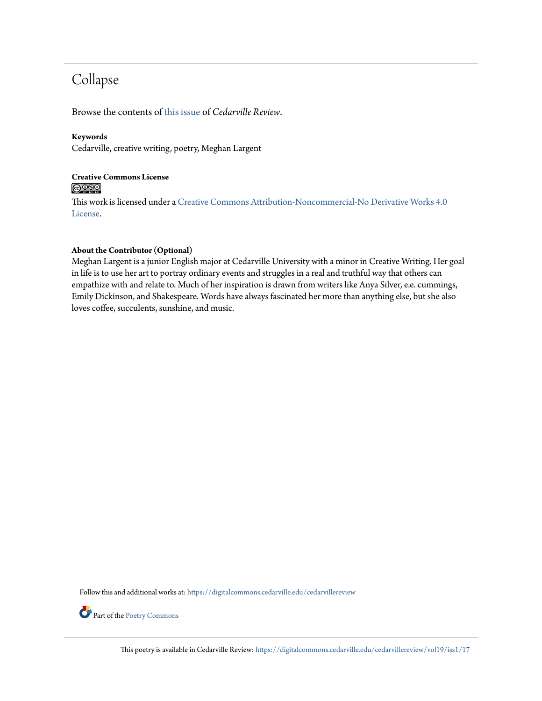## Collapse

Browse the contents of [this issue](https://digitalcommons.cedarville.edu/cedarvillereview/vol19/iss1) of *Cedarville Review*.

#### **Keywords**

Cedarville, creative writing, poetry, Meghan Largent

#### **Creative Commons License**  $\bigcirc$   $\circ$

This work is licensed under a [Creative Commons Attribution-Noncommercial-No Derivative Works 4.0](http://creativecommons.org/licenses/by-nc-nd/4.0/) [License.](http://creativecommons.org/licenses/by-nc-nd/4.0/)

#### **About the Contributor (Optional)**

Meghan Largent is a junior English major at Cedarville University with a minor in Creative Writing. Her goal in life is to use her art to portray ordinary events and struggles in a real and truthful way that others can empathize with and relate to. Much of her inspiration is drawn from writers like Anya Silver, e.e. cummings, Emily Dickinson, and Shakespeare. Words have always fascinated her more than anything else, but she also loves coffee, succulents, sunshine, and music.

Follow this and additional works at: [https://digitalcommons.cedarville.edu/cedarvillereview](https://digitalcommons.cedarville.edu/cedarvillereview?utm_source=digitalcommons.cedarville.edu%2Fcedarvillereview%2Fvol19%2Fiss1%2F17&utm_medium=PDF&utm_campaign=PDFCoverPages)

Part of the [Poetry Commons](http://network.bepress.com/hgg/discipline/1153?utm_source=digitalcommons.cedarville.edu%2Fcedarvillereview%2Fvol19%2Fiss1%2F17&utm_medium=PDF&utm_campaign=PDFCoverPages)

This poetry is available in Cedarville Review: [https://digitalcommons.cedarville.edu/cedarvillereview/vol19/iss1/17](https://digitalcommons.cedarville.edu/cedarvillereview/vol19/iss1/17?utm_source=digitalcommons.cedarville.edu%2Fcedarvillereview%2Fvol19%2Fiss1%2F17&utm_medium=PDF&utm_campaign=PDFCoverPages)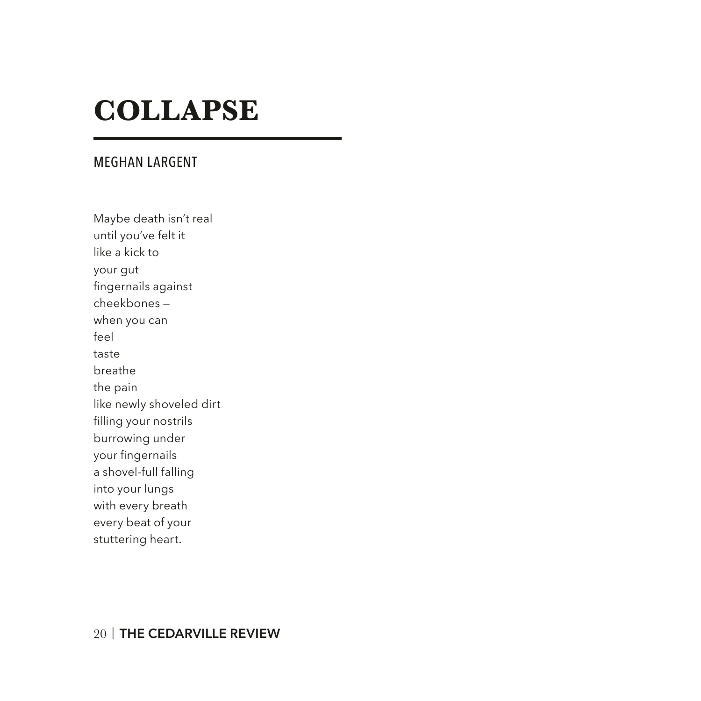# **COLLAPSE**

#### MEGHAN LARGENT

Maybe death isn't real until you've felt it like a kick to your gut fingernails against cheekbones when you can feel taste breathe the pain like newly shoveled dirt filling your nostrils burrowing under your fingernails a shovel-full falling into your lungs with every breath every beat of your stuttering heart.

#### 20 | **THE CEDARVILLE REVIEW**